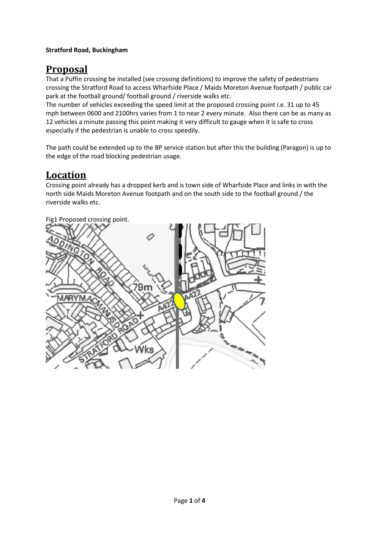## **Stratford Road, Buckingham**

## **Proposal**

That a Puffin crossing be installed (see crossing definitions) to improve the safety of pedestrians crossing the Stratford Road to access Wharfside Place / Maids Moreton Avenue footpath / public car park at the football ground/ football ground / riverside walks etc.

The number of vehicles exceeding the speed limit at the proposed crossing point i.e. 31 up to 45 mph between 0600 and 2100hrs varies from 1 to near 2 every minute. Also there can be as many as 12 vehicles a minute passing this point making it very difficult to gauge when it is safe to cross especially if the pedestrian is unable to cross speedily.

The path could be extended up to the BP service station but after this the building (Paragon) is up to the edge of the road blocking pedestrian usage.

## **Location**

Crossing point already has a dropped kerb and is town side of Wharfside Place and links in with the north side Maids Moreton Avenue footpath and on the south side to the football ground / the riverside walks etc.



Fig1 Proposed crossing point.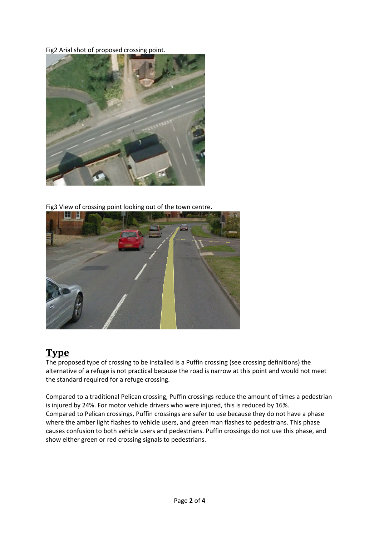Fig2 Arial shot of proposed crossing point.



Fig3 View of crossing point looking out of the town centre.



# **Type**

The proposed type of crossing to be installed is a Puffin crossing (see crossing definitions) the alternative of a refuge is not practical because the road is narrow at this point and would not meet the standard required for a refuge crossing.

Compared to a traditional Pelican crossing, Puffin crossings reduce the amount of times a pedestrian is injured by 24%. For motor vehicle drivers who were injured, this is reduced by 16%. Compared to Pelican crossings, Puffin crossings are safer to use because they do not have a phase where the amber light flashes to vehicle users, and green man flashes to pedestrians. This phase causes confusion to both vehicle users and pedestrians. Puffin crossings do not use this phase, and show either green or red crossing signals to pedestrians.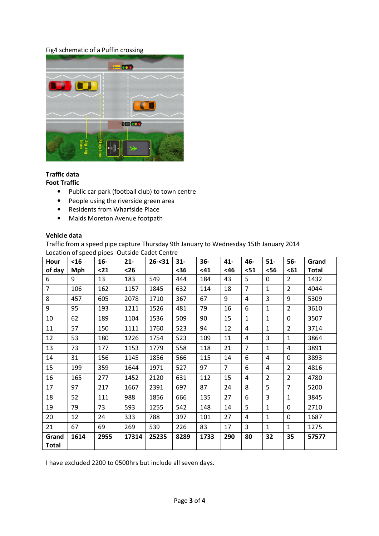### Fig4 schematic of a Puffin crossing



## **Traffic data**

#### **Foot Traffic**

- Public car park (football club) to town centre
- People using the riverside green area
- Residents from Wharfside Place
- Maids Moreton Avenue footpath

### **Vehicle data**

Traffic from a speed pipe capture Thursday 9th January to Wednesday 15th January 2014 Location of speed pipes -Outside Cadet Centre

| Hour           | <16        | $16-$ | $21 -$ | $26 - 31$ | $31 -$ | $36-$ | $41 -$         | 46-            | $51-$          | $56-$          | Grand        |
|----------------|------------|-------|--------|-----------|--------|-------|----------------|----------------|----------------|----------------|--------------|
| of day         | <b>Mph</b> | $21$  | $26$   |           | $36$   | <41   | <46            | $51$           | $56$           | $61$           | <b>Total</b> |
| 6              | 9          | 13    | 183    | 549       | 444    | 184   | 43             | 5              | 0              | $\overline{2}$ | 1432         |
| $\overline{7}$ | 106        | 162   | 1157   | 1845      | 632    | 114   | 18             | $\overline{7}$ | $\mathbf{1}$   | $\overline{2}$ | 4044         |
| 8              | 457        | 605   | 2078   | 1710      | 367    | 67    | 9              | 4              | 3              | 9              | 5309         |
| 9              | 95         | 193   | 1211   | 1526      | 481    | 79    | 16             | 6              | $\mathbf{1}$   | $\overline{2}$ | 3610         |
| 10             | 62         | 189   | 1104   | 1536      | 509    | 90    | 15             | $\mathbf{1}$   | $\mathbf{1}$   | 0              | 3507         |
| 11             | 57         | 150   | 1111   | 1760      | 523    | 94    | 12             | 4              | $\mathbf{1}$   | 2              | 3714         |
| 12             | 53         | 180   | 1226   | 1754      | 523    | 109   | 11             | 4              | 3              | $\mathbf{1}$   | 3864         |
| 13             | 73         | 177   | 1153   | 1779      | 558    | 118   | 21             | $\overline{7}$ | $\mathbf{1}$   | 4              | 3891         |
| 14             | 31         | 156   | 1145   | 1856      | 566    | 115   | 14             | 6              | 4              | 0              | 3893         |
| 15             | 199        | 359   | 1644   | 1971      | 527    | 97    | $\overline{7}$ | 6              | 4              | $\overline{2}$ | 4816         |
| 16             | 165        | 277   | 1452   | 2120      | 631    | 112   | 15             | 4              | $\overline{2}$ | 2              | 4780         |
| 17             | 97         | 217   | 1667   | 2391      | 697    | 87    | 24             | 8              | 5              | $\overline{7}$ | 5200         |
| 18             | 52         | 111   | 988    | 1856      | 666    | 135   | 27             | 6              | 3              | $\mathbf{1}$   | 3845         |
| 19             | 79         | 73    | 593    | 1255      | 542    | 148   | 14             | 5              | $\mathbf{1}$   | 0              | 2710         |
| 20             | 12         | 24    | 333    | 788       | 397    | 101   | 27             | 4              | $\mathbf{1}$   | 0              | 1687         |
| 21             | 67         | 69    | 269    | 539       | 226    | 83    | 17             | 3              | $\mathbf{1}$   | $\mathbf{1}$   | 1275         |
| Grand          | 1614       | 2955  | 17314  | 25235     | 8289   | 1733  | 290            | 80             | 32             | 35             | 57577        |
| <b>Total</b>   |            |       |        |           |        |       |                |                |                |                |              |

I have excluded 2200 to 0500hrs but include all seven days.